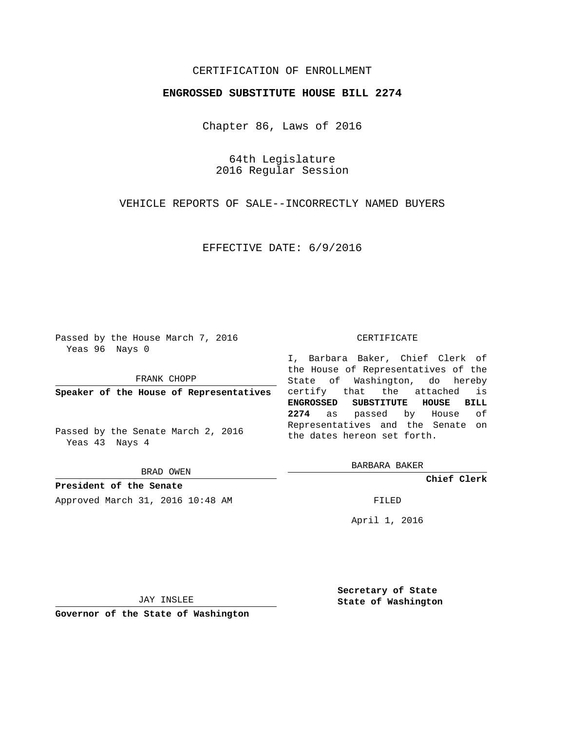# CERTIFICATION OF ENROLLMENT

### **ENGROSSED SUBSTITUTE HOUSE BILL 2274**

Chapter 86, Laws of 2016

64th Legislature 2016 Regular Session

VEHICLE REPORTS OF SALE--INCORRECTLY NAMED BUYERS

EFFECTIVE DATE: 6/9/2016

Passed by the House March 7, 2016 Yeas 96 Nays 0

FRANK CHOPP

**Speaker of the House of Representatives**

Passed by the Senate March 2, 2016 Yeas 43 Nays 4

BRAD OWEN

**President of the Senate** Approved March 31, 2016 10:48 AM FILED

#### CERTIFICATE

I, Barbara Baker, Chief Clerk of the House of Representatives of the State of Washington, do hereby certify that the attached is **ENGROSSED SUBSTITUTE HOUSE BILL 2274** as passed by House of Representatives and the Senate on the dates hereon set forth.

BARBARA BAKER

**Chief Clerk**

April 1, 2016

JAY INSLEE

**Governor of the State of Washington**

**Secretary of State State of Washington**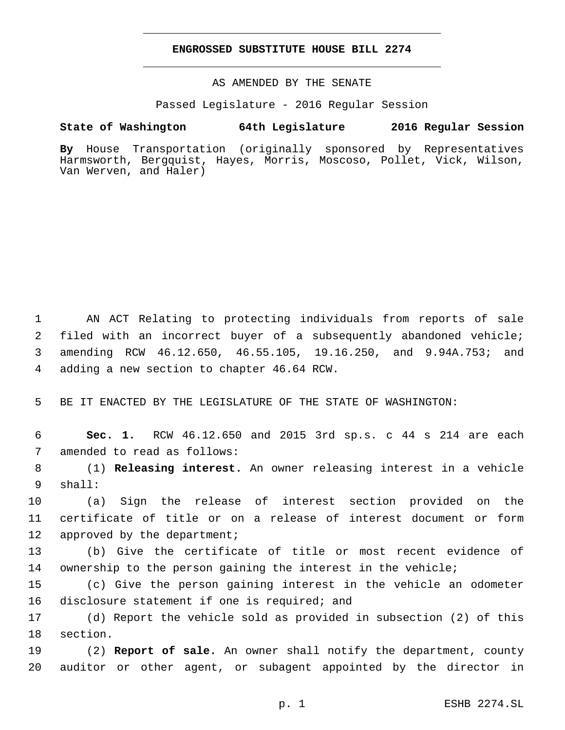### **ENGROSSED SUBSTITUTE HOUSE BILL 2274**

AS AMENDED BY THE SENATE

Passed Legislature - 2016 Regular Session

## **State of Washington 64th Legislature 2016 Regular Session**

**By** House Transportation (originally sponsored by Representatives Harmsworth, Bergquist, Hayes, Morris, Moscoso, Pollet, Vick, Wilson, Van Werven, and Haler)

 AN ACT Relating to protecting individuals from reports of sale filed with an incorrect buyer of a subsequently abandoned vehicle; amending RCW 46.12.650, 46.55.105, 19.16.250, and 9.94A.753; and 4 adding a new section to chapter 46.64 RCW.

5 BE IT ENACTED BY THE LEGISLATURE OF THE STATE OF WASHINGTON:

6 **Sec. 1.** RCW 46.12.650 and 2015 3rd sp.s. c 44 s 214 are each 7 amended to read as follows:

8 (1) **Releasing interest.** An owner releasing interest in a vehicle shall:9

10 (a) Sign the release of interest section provided on the 11 certificate of title or on a release of interest document or form 12 approved by the department;

13 (b) Give the certificate of title or most recent evidence of 14 ownership to the person gaining the interest in the vehicle;

15 (c) Give the person gaining interest in the vehicle an odometer 16 disclosure statement if one is required; and

17 (d) Report the vehicle sold as provided in subsection (2) of this 18 section.

19 (2) **Report of sale.** An owner shall notify the department, county 20 auditor or other agent, or subagent appointed by the director in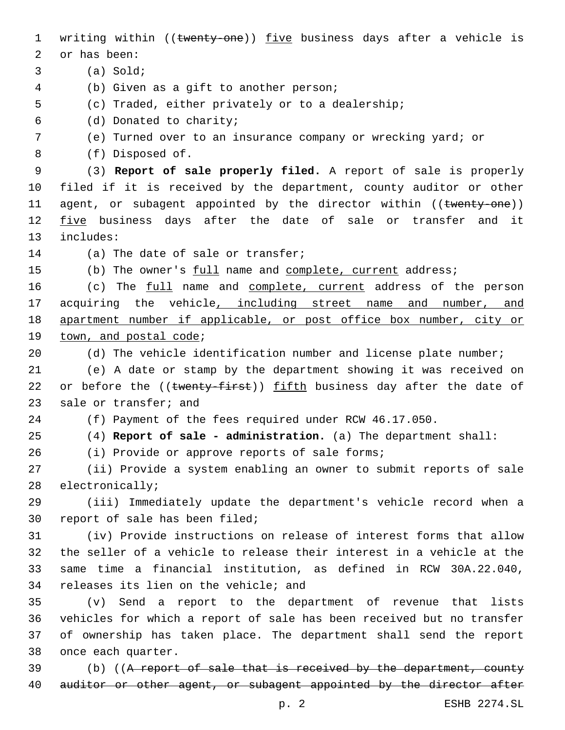1 writing within ((twenty-one)) five business days after a vehicle is 2 or has been: (a) Sold;3 (b) Given as a gift to another person;4 5 (c) Traded, either privately or to a dealership; (d) Donated to charity;6 7 (e) Turned over to an insurance company or wrecking yard; or (f) Disposed of.8 9 (3) **Report of sale properly filed.** A report of sale is properly 10 filed if it is received by the department, county auditor or other 11 agent, or subagent appointed by the director within ((twenty-one)) 12 five business days after the date of sale or transfer and it 13 includes: 14 (a) The date of sale or transfer; 15 (b) The owner's full name and complete, current address; 16 (c) The full name and complete, current address of the person 17 acquiring the vehicle, including street name and number, and 18 apartment number if applicable, or post office box number, city or 19 town, and postal code; 20 (d) The vehicle identification number and license plate number; 21 (e) A date or stamp by the department showing it was received on 22 or before the ((twenty-first)) fifth business day after the date of 23 sale or transfer; and 24 (f) Payment of the fees required under RCW 46.17.050. 25 (4) **Report of sale - administration.** (a) The department shall: 26 (i) Provide or approve reports of sale forms; 27 (ii) Provide a system enabling an owner to submit reports of sale 28 electronically; 29 (iii) Immediately update the department's vehicle record when a 30 report of sale has been filed; 31 (iv) Provide instructions on release of interest forms that allow 32 the seller of a vehicle to release their interest in a vehicle at the 33 same time a financial institution, as defined in RCW 30A.22.040, 34 releases its lien on the vehicle; and 35 (v) Send a report to the department of revenue that lists 36 vehicles for which a report of sale has been received but no transfer 37 of ownership has taken place. The department shall send the report 38 once each quarter. 39 (b) ((A report of sale that is received by the department, county 40 auditor or other agent, or subagent appointed by the director after

p. 2 ESHB 2274.SL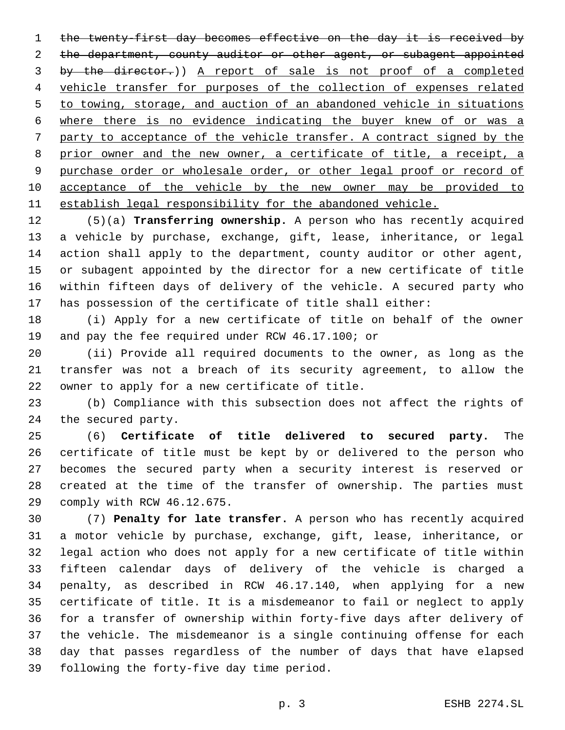1 the twenty-first day becomes effective on the day it is received by the department, county auditor or other agent, or subagent appointed by the director.)) A report of sale is not proof of a completed vehicle transfer for purposes of the collection of expenses related to towing, storage, and auction of an abandoned vehicle in situations where there is no evidence indicating the buyer knew of or was a party to acceptance of the vehicle transfer. A contract signed by the prior owner and the new owner, a certificate of title, a receipt, a purchase order or wholesale order, or other legal proof or record of acceptance of the vehicle by the new owner may be provided to establish legal responsibility for the abandoned vehicle.

 (5)(a) **Transferring ownership.** A person who has recently acquired a vehicle by purchase, exchange, gift, lease, inheritance, or legal action shall apply to the department, county auditor or other agent, or subagent appointed by the director for a new certificate of title within fifteen days of delivery of the vehicle. A secured party who has possession of the certificate of title shall either:

 (i) Apply for a new certificate of title on behalf of the owner 19 and pay the fee required under RCW 46.17.100; or

 (ii) Provide all required documents to the owner, as long as the transfer was not a breach of its security agreement, to allow the 22 owner to apply for a new certificate of title.

 (b) Compliance with this subsection does not affect the rights of 24 the secured party.

 (6) **Certificate of title delivered to secured party.** The certificate of title must be kept by or delivered to the person who becomes the secured party when a security interest is reserved or created at the time of the transfer of ownership. The parties must 29 comply with RCW 46.12.675.

 (7) **Penalty for late transfer.** A person who has recently acquired a motor vehicle by purchase, exchange, gift, lease, inheritance, or legal action who does not apply for a new certificate of title within fifteen calendar days of delivery of the vehicle is charged a penalty, as described in RCW 46.17.140, when applying for a new certificate of title. It is a misdemeanor to fail or neglect to apply for a transfer of ownership within forty-five days after delivery of the vehicle. The misdemeanor is a single continuing offense for each day that passes regardless of the number of days that have elapsed 39 following the forty-five day time period.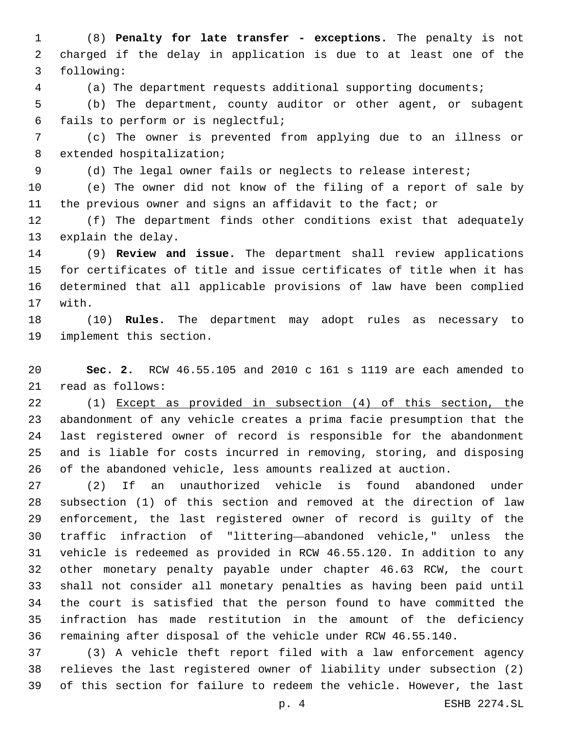(8) **Penalty for late transfer - exceptions.** The penalty is not charged if the delay in application is due to at least one of the following:3

(a) The department requests additional supporting documents;

 (b) The department, county auditor or other agent, or subagent fails to perform or is neglectful;6

 (c) The owner is prevented from applying due to an illness or 8 extended hospitalization;

(d) The legal owner fails or neglects to release interest;

 (e) The owner did not know of the filing of a report of sale by the previous owner and signs an affidavit to the fact; or

 (f) The department finds other conditions exist that adequately 13 explain the delay.

 (9) **Review and issue.** The department shall review applications for certificates of title and issue certificates of title when it has determined that all applicable provisions of law have been complied 17 with.

 (10) **Rules.** The department may adopt rules as necessary to 19 implement this section.

 **Sec. 2.** RCW 46.55.105 and 2010 c 161 s 1119 are each amended to 21 read as follows:

 (1) Except as provided in subsection (4) of this section, the abandonment of any vehicle creates a prima facie presumption that the last registered owner of record is responsible for the abandonment and is liable for costs incurred in removing, storing, and disposing of the abandoned vehicle, less amounts realized at auction.

 (2) If an unauthorized vehicle is found abandoned under subsection (1) of this section and removed at the direction of law enforcement, the last registered owner of record is guilty of the traffic infraction of "littering—abandoned vehicle," unless the vehicle is redeemed as provided in RCW 46.55.120. In addition to any other monetary penalty payable under chapter 46.63 RCW, the court shall not consider all monetary penalties as having been paid until the court is satisfied that the person found to have committed the infraction has made restitution in the amount of the deficiency remaining after disposal of the vehicle under RCW 46.55.140.

 (3) A vehicle theft report filed with a law enforcement agency relieves the last registered owner of liability under subsection (2) of this section for failure to redeem the vehicle. However, the last

p. 4 ESHB 2274.SL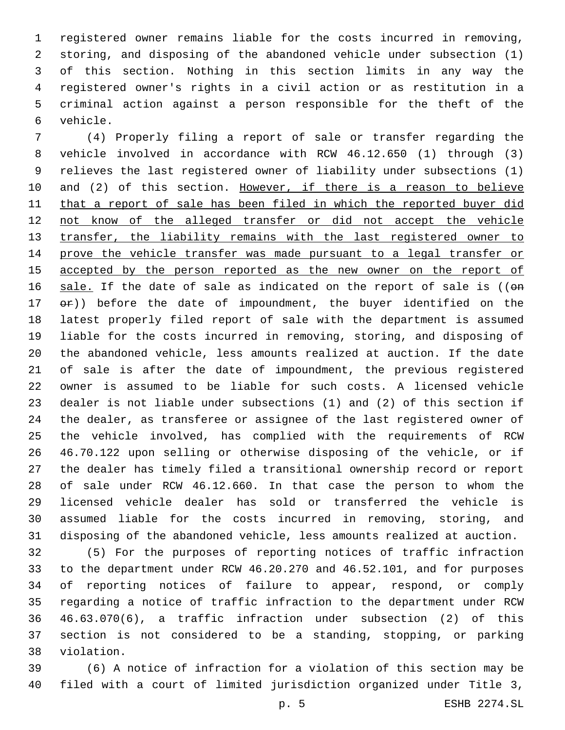registered owner remains liable for the costs incurred in removing, storing, and disposing of the abandoned vehicle under subsection (1) of this section. Nothing in this section limits in any way the registered owner's rights in a civil action or as restitution in a criminal action against a person responsible for the theft of the vehicle.6

 (4) Properly filing a report of sale or transfer regarding the vehicle involved in accordance with RCW 46.12.650 (1) through (3) relieves the last registered owner of liability under subsections (1) 10 and (2) of this section. However, if there is a reason to believe 11 that a report of sale has been filed in which the reported buyer did not know of the alleged transfer or did not accept the vehicle transfer, the liability remains with the last registered owner to prove the vehicle transfer was made pursuant to a legal transfer or accepted by the person reported as the new owner on the report of 16 sale. If the date of sale as indicated on the report of sale is ((on  $er)$  before the date of impoundment, the buyer identified on the latest properly filed report of sale with the department is assumed liable for the costs incurred in removing, storing, and disposing of the abandoned vehicle, less amounts realized at auction. If the date of sale is after the date of impoundment, the previous registered owner is assumed to be liable for such costs. A licensed vehicle dealer is not liable under subsections (1) and (2) of this section if the dealer, as transferee or assignee of the last registered owner of the vehicle involved, has complied with the requirements of RCW 46.70.122 upon selling or otherwise disposing of the vehicle, or if the dealer has timely filed a transitional ownership record or report of sale under RCW 46.12.660. In that case the person to whom the licensed vehicle dealer has sold or transferred the vehicle is assumed liable for the costs incurred in removing, storing, and disposing of the abandoned vehicle, less amounts realized at auction.

 (5) For the purposes of reporting notices of traffic infraction to the department under RCW 46.20.270 and 46.52.101, and for purposes of reporting notices of failure to appear, respond, or comply regarding a notice of traffic infraction to the department under RCW 46.63.070(6), a traffic infraction under subsection (2) of this section is not considered to be a standing, stopping, or parking 38 violation.

 (6) A notice of infraction for a violation of this section may be filed with a court of limited jurisdiction organized under Title 3,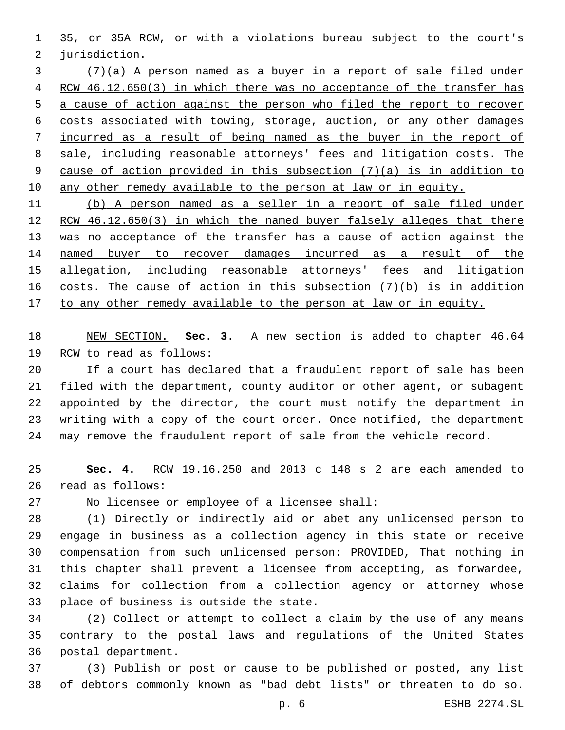35, or 35A RCW, or with a violations bureau subject to the court's 2 jurisdiction.

 (7)(a) A person named as a buyer in a report of sale filed under RCW 46.12.650(3) in which there was no acceptance of the transfer has a cause of action against the person who filed the report to recover costs associated with towing, storage, auction, or any other damages incurred as a result of being named as the buyer in the report of sale, including reasonable attorneys' fees and litigation costs. The cause of action provided in this subsection (7)(a) is in addition to any other remedy available to the person at law or in equity.

 (b) A person named as a seller in a report of sale filed under 12 RCW 46.12.650(3) in which the named buyer falsely alleges that there 13 was no acceptance of the transfer has a cause of action against the named buyer to recover damages incurred as a result of the allegation, including reasonable attorneys' fees and litigation costs. The cause of action in this subsection (7)(b) is in addition to any other remedy available to the person at law or in equity.

 NEW SECTION. **Sec. 3.** A new section is added to chapter 46.64 19 RCW to read as follows:

 If a court has declared that a fraudulent report of sale has been filed with the department, county auditor or other agent, or subagent appointed by the director, the court must notify the department in writing with a copy of the court order. Once notified, the department may remove the fraudulent report of sale from the vehicle record.

 **Sec. 4.** RCW 19.16.250 and 2013 c 148 s 2 are each amended to 26 read as follows:

27 No licensee or employee of a licensee shall:

 (1) Directly or indirectly aid or abet any unlicensed person to engage in business as a collection agency in this state or receive compensation from such unlicensed person: PROVIDED, That nothing in this chapter shall prevent a licensee from accepting, as forwardee, claims for collection from a collection agency or attorney whose 33 place of business is outside the state.

 (2) Collect or attempt to collect a claim by the use of any means contrary to the postal laws and regulations of the United States 36 postal department.

 (3) Publish or post or cause to be published or posted, any list of debtors commonly known as "bad debt lists" or threaten to do so.

p. 6 ESHB 2274.SL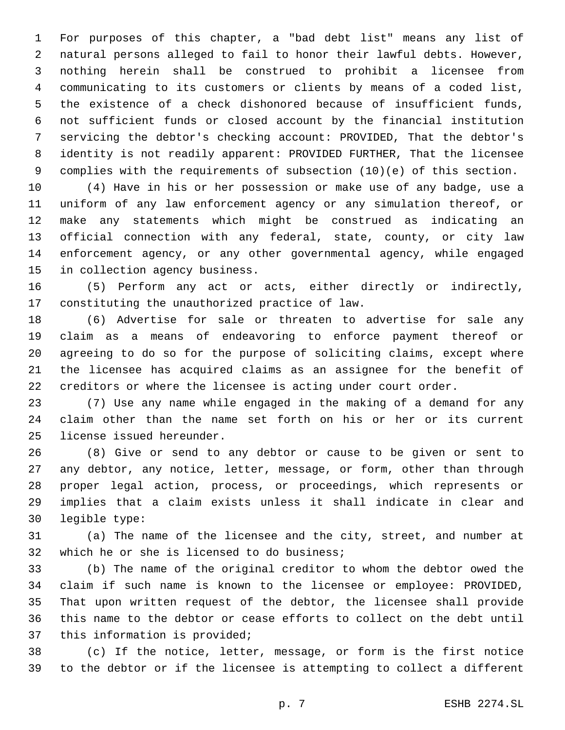For purposes of this chapter, a "bad debt list" means any list of natural persons alleged to fail to honor their lawful debts. However, nothing herein shall be construed to prohibit a licensee from communicating to its customers or clients by means of a coded list, the existence of a check dishonored because of insufficient funds, not sufficient funds or closed account by the financial institution servicing the debtor's checking account: PROVIDED, That the debtor's identity is not readily apparent: PROVIDED FURTHER, That the licensee complies with the requirements of subsection (10)(e) of this section.

 (4) Have in his or her possession or make use of any badge, use a uniform of any law enforcement agency or any simulation thereof, or make any statements which might be construed as indicating an official connection with any federal, state, county, or city law enforcement agency, or any other governmental agency, while engaged 15 in collection agency business.

 (5) Perform any act or acts, either directly or indirectly, 17 constituting the unauthorized practice of law.

 (6) Advertise for sale or threaten to advertise for sale any claim as a means of endeavoring to enforce payment thereof or agreeing to do so for the purpose of soliciting claims, except where the licensee has acquired claims as an assignee for the benefit of creditors or where the licensee is acting under court order.

 (7) Use any name while engaged in the making of a demand for any claim other than the name set forth on his or her or its current 25 license issued hereunder.

 (8) Give or send to any debtor or cause to be given or sent to any debtor, any notice, letter, message, or form, other than through proper legal action, process, or proceedings, which represents or implies that a claim exists unless it shall indicate in clear and 30 legible type:

 (a) The name of the licensee and the city, street, and number at 32 which he or she is licensed to do business;

 (b) The name of the original creditor to whom the debtor owed the claim if such name is known to the licensee or employee: PROVIDED, That upon written request of the debtor, the licensee shall provide this name to the debtor or cease efforts to collect on the debt until 37 this information is provided;

 (c) If the notice, letter, message, or form is the first notice to the debtor or if the licensee is attempting to collect a different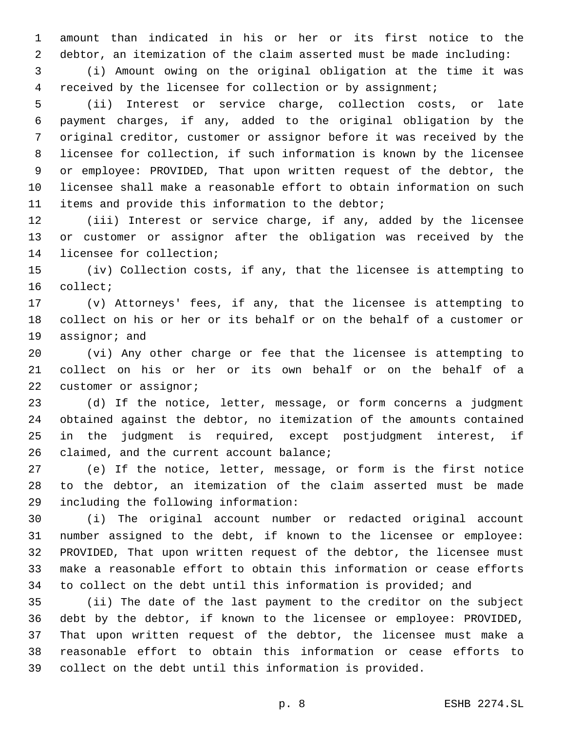amount than indicated in his or her or its first notice to the debtor, an itemization of the claim asserted must be made including: (i) Amount owing on the original obligation at the time it was

received by the licensee for collection or by assignment;

 (ii) Interest or service charge, collection costs, or late payment charges, if any, added to the original obligation by the original creditor, customer or assignor before it was received by the licensee for collection, if such information is known by the licensee or employee: PROVIDED, That upon written request of the debtor, the licensee shall make a reasonable effort to obtain information on such 11 items and provide this information to the debtor;

 (iii) Interest or service charge, if any, added by the licensee or customer or assignor after the obligation was received by the 14 licensee for collection;

 (iv) Collection costs, if any, that the licensee is attempting to 16 collect;

 (v) Attorneys' fees, if any, that the licensee is attempting to collect on his or her or its behalf or on the behalf of a customer or 19 assignor; and

 (vi) Any other charge or fee that the licensee is attempting to collect on his or her or its own behalf or on the behalf of a 22 customer or assignor;

 (d) If the notice, letter, message, or form concerns a judgment obtained against the debtor, no itemization of the amounts contained in the judgment is required, except postjudgment interest, if 26 claimed, and the current account balance;

 (e) If the notice, letter, message, or form is the first notice to the debtor, an itemization of the claim asserted must be made 29 including the following information:

 (i) The original account number or redacted original account number assigned to the debt, if known to the licensee or employee: PROVIDED, That upon written request of the debtor, the licensee must make a reasonable effort to obtain this information or cease efforts to collect on the debt until this information is provided; and

 (ii) The date of the last payment to the creditor on the subject debt by the debtor, if known to the licensee or employee: PROVIDED, That upon written request of the debtor, the licensee must make a reasonable effort to obtain this information or cease efforts to collect on the debt until this information is provided.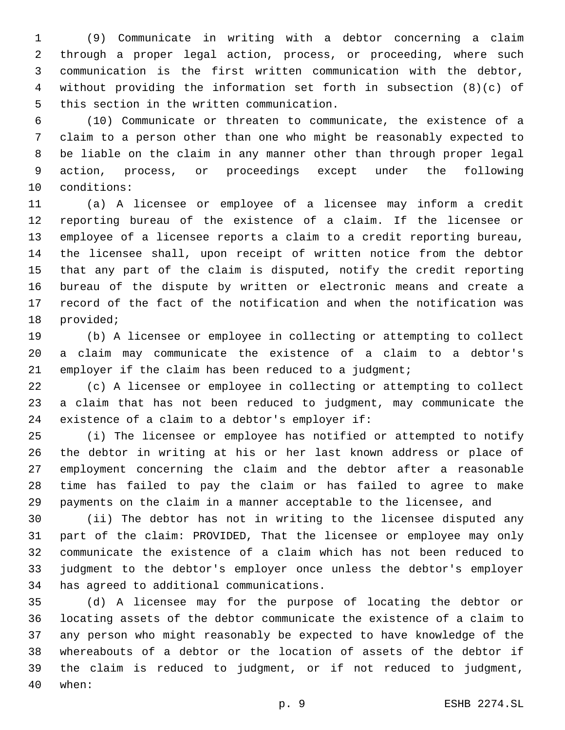(9) Communicate in writing with a debtor concerning a claim through a proper legal action, process, or proceeding, where such communication is the first written communication with the debtor, without providing the information set forth in subsection (8)(c) of 5 this section in the written communication.

 (10) Communicate or threaten to communicate, the existence of a claim to a person other than one who might be reasonably expected to be liable on the claim in any manner other than through proper legal action, process, or proceedings except under the following 10 conditions:

 (a) A licensee or employee of a licensee may inform a credit reporting bureau of the existence of a claim. If the licensee or employee of a licensee reports a claim to a credit reporting bureau, the licensee shall, upon receipt of written notice from the debtor that any part of the claim is disputed, notify the credit reporting bureau of the dispute by written or electronic means and create a record of the fact of the notification and when the notification was 18 provided;

 (b) A licensee or employee in collecting or attempting to collect a claim may communicate the existence of a claim to a debtor's 21 employer if the claim has been reduced to a judgment;

 (c) A licensee or employee in collecting or attempting to collect a claim that has not been reduced to judgment, may communicate the 24 existence of a claim to a debtor's employer if:

 (i) The licensee or employee has notified or attempted to notify the debtor in writing at his or her last known address or place of employment concerning the claim and the debtor after a reasonable time has failed to pay the claim or has failed to agree to make payments on the claim in a manner acceptable to the licensee, and

 (ii) The debtor has not in writing to the licensee disputed any part of the claim: PROVIDED, That the licensee or employee may only communicate the existence of a claim which has not been reduced to judgment to the debtor's employer once unless the debtor's employer 34 has agreed to additional communications.

 (d) A licensee may for the purpose of locating the debtor or locating assets of the debtor communicate the existence of a claim to any person who might reasonably be expected to have knowledge of the whereabouts of a debtor or the location of assets of the debtor if the claim is reduced to judgment, or if not reduced to judgment, 40 when: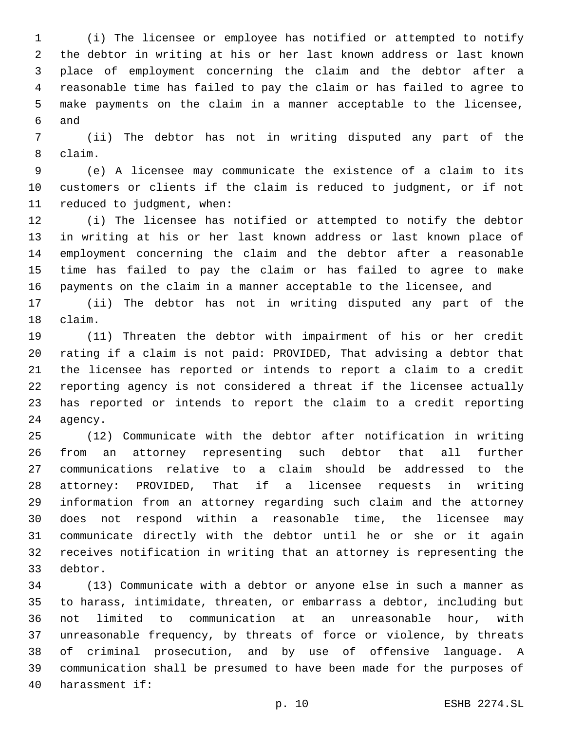(i) The licensee or employee has notified or attempted to notify the debtor in writing at his or her last known address or last known place of employment concerning the claim and the debtor after a reasonable time has failed to pay the claim or has failed to agree to make payments on the claim in a manner acceptable to the licensee, 6 and

 (ii) The debtor has not in writing disputed any part of the claim.8

 (e) A licensee may communicate the existence of a claim to its customers or clients if the claim is reduced to judgment, or if not 11 reduced to judgment, when:

 (i) The licensee has notified or attempted to notify the debtor in writing at his or her last known address or last known place of employment concerning the claim and the debtor after a reasonable time has failed to pay the claim or has failed to agree to make payments on the claim in a manner acceptable to the licensee, and

 (ii) The debtor has not in writing disputed any part of the 18 claim.

 (11) Threaten the debtor with impairment of his or her credit rating if a claim is not paid: PROVIDED, That advising a debtor that the licensee has reported or intends to report a claim to a credit reporting agency is not considered a threat if the licensee actually has reported or intends to report the claim to a credit reporting 24 agency.

 (12) Communicate with the debtor after notification in writing from an attorney representing such debtor that all further communications relative to a claim should be addressed to the attorney: PROVIDED, That if a licensee requests in writing information from an attorney regarding such claim and the attorney does not respond within a reasonable time, the licensee may communicate directly with the debtor until he or she or it again receives notification in writing that an attorney is representing the 33 debtor.

 (13) Communicate with a debtor or anyone else in such a manner as to harass, intimidate, threaten, or embarrass a debtor, including but not limited to communication at an unreasonable hour, with unreasonable frequency, by threats of force or violence, by threats of criminal prosecution, and by use of offensive language. A communication shall be presumed to have been made for the purposes of 40 harassment if: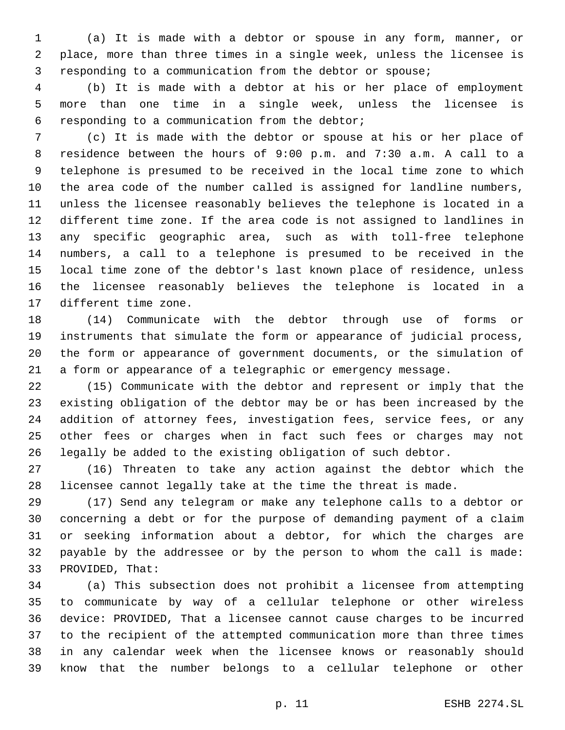(a) It is made with a debtor or spouse in any form, manner, or place, more than three times in a single week, unless the licensee is responding to a communication from the debtor or spouse;

 (b) It is made with a debtor at his or her place of employment more than one time in a single week, unless the licensee is 6 responding to a communication from the debtor;

 (c) It is made with the debtor or spouse at his or her place of residence between the hours of 9:00 p.m. and 7:30 a.m. A call to a telephone is presumed to be received in the local time zone to which the area code of the number called is assigned for landline numbers, unless the licensee reasonably believes the telephone is located in a different time zone. If the area code is not assigned to landlines in any specific geographic area, such as with toll-free telephone numbers, a call to a telephone is presumed to be received in the local time zone of the debtor's last known place of residence, unless the licensee reasonably believes the telephone is located in a 17 different time zone.

 (14) Communicate with the debtor through use of forms or instruments that simulate the form or appearance of judicial process, the form or appearance of government documents, or the simulation of a form or appearance of a telegraphic or emergency message.

 (15) Communicate with the debtor and represent or imply that the existing obligation of the debtor may be or has been increased by the addition of attorney fees, investigation fees, service fees, or any other fees or charges when in fact such fees or charges may not legally be added to the existing obligation of such debtor.

 (16) Threaten to take any action against the debtor which the licensee cannot legally take at the time the threat is made.

 (17) Send any telegram or make any telephone calls to a debtor or concerning a debt or for the purpose of demanding payment of a claim or seeking information about a debtor, for which the charges are payable by the addressee or by the person to whom the call is made: 33 PROVIDED, That:

 (a) This subsection does not prohibit a licensee from attempting to communicate by way of a cellular telephone or other wireless device: PROVIDED, That a licensee cannot cause charges to be incurred to the recipient of the attempted communication more than three times in any calendar week when the licensee knows or reasonably should know that the number belongs to a cellular telephone or other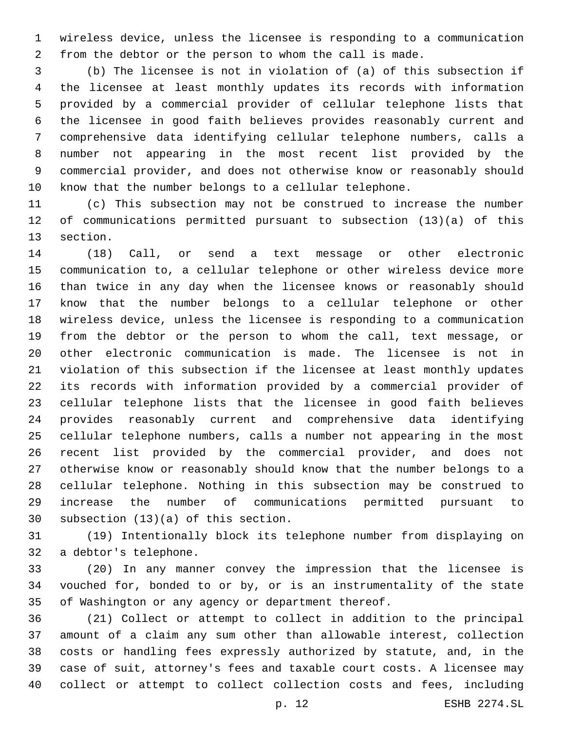wireless device, unless the licensee is responding to a communication from the debtor or the person to whom the call is made.

 (b) The licensee is not in violation of (a) of this subsection if the licensee at least monthly updates its records with information provided by a commercial provider of cellular telephone lists that the licensee in good faith believes provides reasonably current and comprehensive data identifying cellular telephone numbers, calls a number not appearing in the most recent list provided by the commercial provider, and does not otherwise know or reasonably should know that the number belongs to a cellular telephone.

 (c) This subsection may not be construed to increase the number of communications permitted pursuant to subsection (13)(a) of this 13 section.

 (18) Call, or send a text message or other electronic communication to, a cellular telephone or other wireless device more than twice in any day when the licensee knows or reasonably should know that the number belongs to a cellular telephone or other wireless device, unless the licensee is responding to a communication from the debtor or the person to whom the call, text message, or other electronic communication is made. The licensee is not in violation of this subsection if the licensee at least monthly updates its records with information provided by a commercial provider of cellular telephone lists that the licensee in good faith believes provides reasonably current and comprehensive data identifying cellular telephone numbers, calls a number not appearing in the most recent list provided by the commercial provider, and does not otherwise know or reasonably should know that the number belongs to a cellular telephone. Nothing in this subsection may be construed to increase the number of communications permitted pursuant to 30 subsection  $(13)(a)$  of this section.

 (19) Intentionally block its telephone number from displaying on 32 a debtor's telephone.

 (20) In any manner convey the impression that the licensee is vouched for, bonded to or by, or is an instrumentality of the state of Washington or any agency or department thereof.

 (21) Collect or attempt to collect in addition to the principal amount of a claim any sum other than allowable interest, collection costs or handling fees expressly authorized by statute, and, in the case of suit, attorney's fees and taxable court costs. A licensee may collect or attempt to collect collection costs and fees, including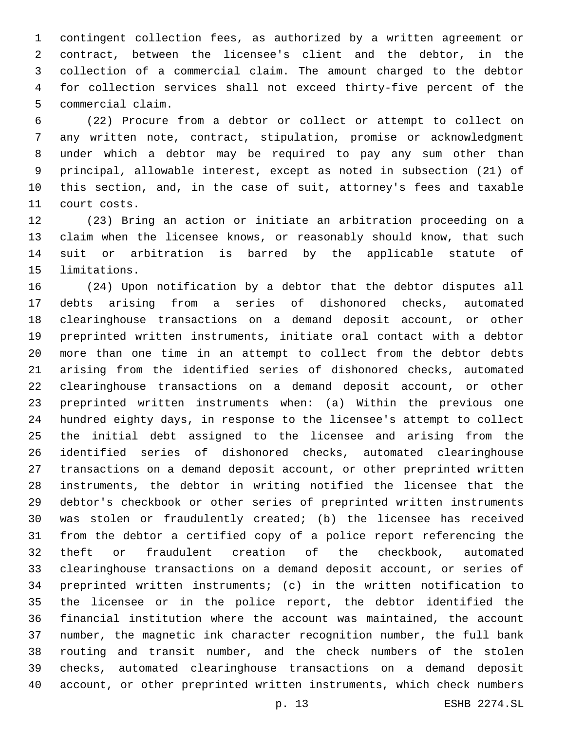contingent collection fees, as authorized by a written agreement or contract, between the licensee's client and the debtor, in the collection of a commercial claim. The amount charged to the debtor for collection services shall not exceed thirty-five percent of the 5 commercial claim.

 (22) Procure from a debtor or collect or attempt to collect on any written note, contract, stipulation, promise or acknowledgment under which a debtor may be required to pay any sum other than principal, allowable interest, except as noted in subsection (21) of this section, and, in the case of suit, attorney's fees and taxable 11 court costs.

 (23) Bring an action or initiate an arbitration proceeding on a claim when the licensee knows, or reasonably should know, that such suit or arbitration is barred by the applicable statute of 15 limitations.

 (24) Upon notification by a debtor that the debtor disputes all debts arising from a series of dishonored checks, automated clearinghouse transactions on a demand deposit account, or other preprinted written instruments, initiate oral contact with a debtor more than one time in an attempt to collect from the debtor debts arising from the identified series of dishonored checks, automated clearinghouse transactions on a demand deposit account, or other preprinted written instruments when: (a) Within the previous one hundred eighty days, in response to the licensee's attempt to collect the initial debt assigned to the licensee and arising from the identified series of dishonored checks, automated clearinghouse transactions on a demand deposit account, or other preprinted written instruments, the debtor in writing notified the licensee that the debtor's checkbook or other series of preprinted written instruments was stolen or fraudulently created; (b) the licensee has received from the debtor a certified copy of a police report referencing the theft or fraudulent creation of the checkbook, automated clearinghouse transactions on a demand deposit account, or series of preprinted written instruments; (c) in the written notification to the licensee or in the police report, the debtor identified the financial institution where the account was maintained, the account number, the magnetic ink character recognition number, the full bank routing and transit number, and the check numbers of the stolen checks, automated clearinghouse transactions on a demand deposit account, or other preprinted written instruments, which check numbers

p. 13 ESHB 2274.SL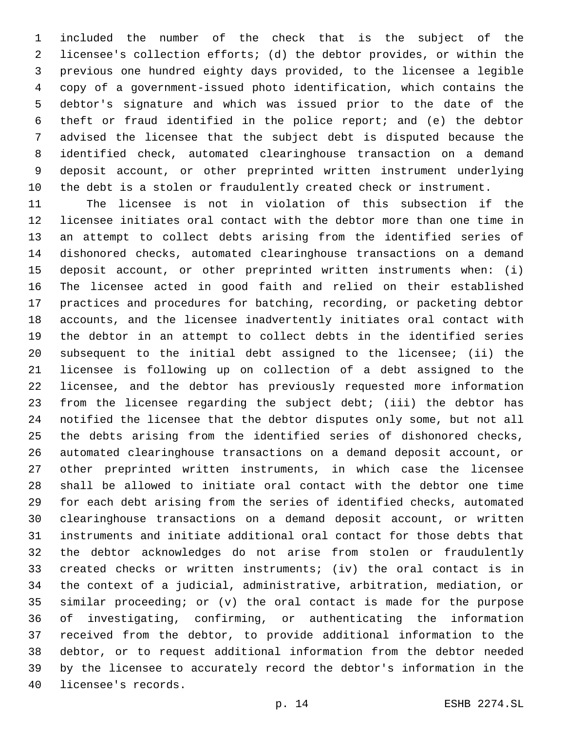included the number of the check that is the subject of the licensee's collection efforts; (d) the debtor provides, or within the previous one hundred eighty days provided, to the licensee a legible copy of a government-issued photo identification, which contains the debtor's signature and which was issued prior to the date of the theft or fraud identified in the police report; and (e) the debtor advised the licensee that the subject debt is disputed because the identified check, automated clearinghouse transaction on a demand deposit account, or other preprinted written instrument underlying the debt is a stolen or fraudulently created check or instrument.

 The licensee is not in violation of this subsection if the licensee initiates oral contact with the debtor more than one time in an attempt to collect debts arising from the identified series of dishonored checks, automated clearinghouse transactions on a demand deposit account, or other preprinted written instruments when: (i) The licensee acted in good faith and relied on their established practices and procedures for batching, recording, or packeting debtor accounts, and the licensee inadvertently initiates oral contact with the debtor in an attempt to collect debts in the identified series subsequent to the initial debt assigned to the licensee; (ii) the licensee is following up on collection of a debt assigned to the licensee, and the debtor has previously requested more information from the licensee regarding the subject debt; (iii) the debtor has notified the licensee that the debtor disputes only some, but not all the debts arising from the identified series of dishonored checks, automated clearinghouse transactions on a demand deposit account, or other preprinted written instruments, in which case the licensee shall be allowed to initiate oral contact with the debtor one time for each debt arising from the series of identified checks, automated clearinghouse transactions on a demand deposit account, or written instruments and initiate additional oral contact for those debts that the debtor acknowledges do not arise from stolen or fraudulently created checks or written instruments; (iv) the oral contact is in the context of a judicial, administrative, arbitration, mediation, or similar proceeding; or (v) the oral contact is made for the purpose of investigating, confirming, or authenticating the information received from the debtor, to provide additional information to the debtor, or to request additional information from the debtor needed by the licensee to accurately record the debtor's information in the 40 licensee's records.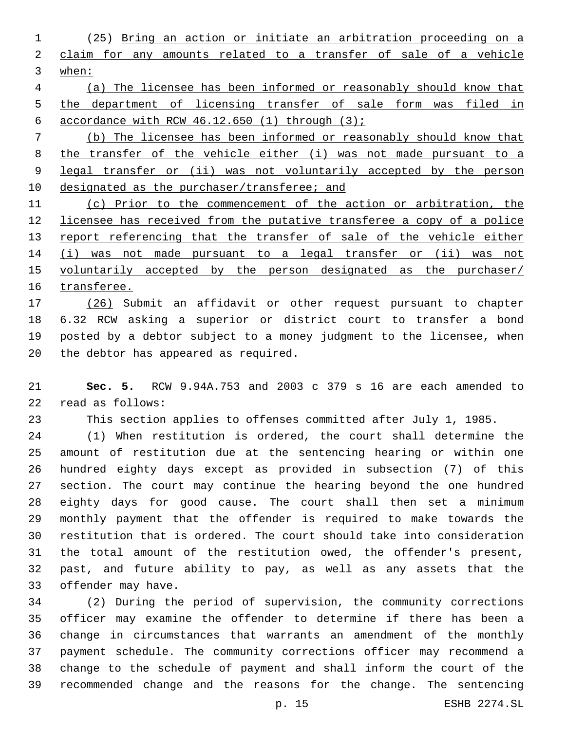(25) Bring an action or initiate an arbitration proceeding on a claim for any amounts related to a transfer of sale of a vehicle when:

 (a) The licensee has been informed or reasonably should know that 5 the department of licensing transfer of sale form was filed in 6 accordance with RCW  $46.12.650$  (1) through  $(3)$ ;

 (b) The licensee has been informed or reasonably should know that the transfer of the vehicle either (i) was not made pursuant to a legal transfer or (ii) was not voluntarily accepted by the person 10 designated as the purchaser/transferee; and

 (c) Prior to the commencement of the action or arbitration, the licensee has received from the putative transferee a copy of a police 13 report referencing that the transfer of sale of the vehicle either 14 (i) was not made pursuant to a legal transfer or (ii) was not 15 voluntarily accepted by the person designated as the purchaser/ transferee.

 (26) Submit an affidavit or other request pursuant to chapter 6.32 RCW asking a superior or district court to transfer a bond posted by a debtor subject to a money judgment to the licensee, when 20 the debtor has appeared as required.

 **Sec. 5.** RCW 9.94A.753 and 2003 c 379 s 16 are each amended to 22 read as follows:

This section applies to offenses committed after July 1, 1985.

 (1) When restitution is ordered, the court shall determine the amount of restitution due at the sentencing hearing or within one hundred eighty days except as provided in subsection (7) of this section. The court may continue the hearing beyond the one hundred eighty days for good cause. The court shall then set a minimum monthly payment that the offender is required to make towards the restitution that is ordered. The court should take into consideration the total amount of the restitution owed, the offender's present, past, and future ability to pay, as well as any assets that the 33 offender may have.

 (2) During the period of supervision, the community corrections officer may examine the offender to determine if there has been a change in circumstances that warrants an amendment of the monthly payment schedule. The community corrections officer may recommend a change to the schedule of payment and shall inform the court of the recommended change and the reasons for the change. The sentencing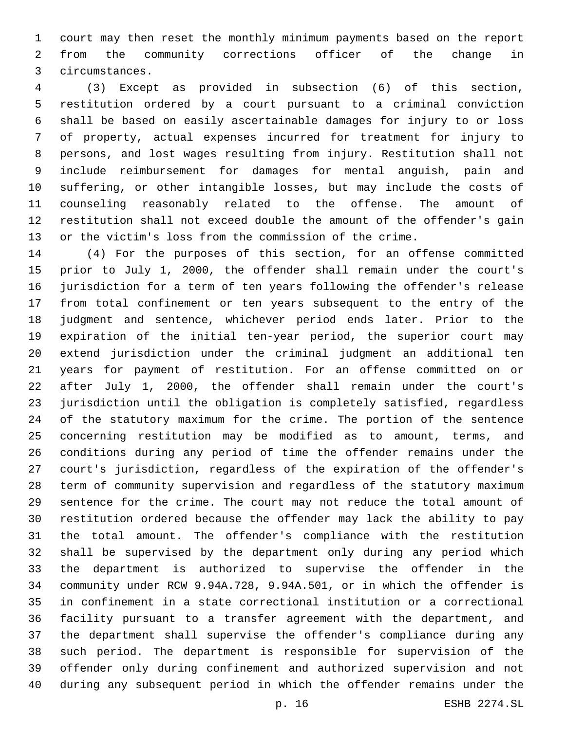court may then reset the monthly minimum payments based on the report from the community corrections officer of the change in circumstances.3

 (3) Except as provided in subsection (6) of this section, restitution ordered by a court pursuant to a criminal conviction shall be based on easily ascertainable damages for injury to or loss of property, actual expenses incurred for treatment for injury to persons, and lost wages resulting from injury. Restitution shall not include reimbursement for damages for mental anguish, pain and suffering, or other intangible losses, but may include the costs of counseling reasonably related to the offense. The amount of restitution shall not exceed double the amount of the offender's gain or the victim's loss from the commission of the crime.

 (4) For the purposes of this section, for an offense committed prior to July 1, 2000, the offender shall remain under the court's jurisdiction for a term of ten years following the offender's release from total confinement or ten years subsequent to the entry of the judgment and sentence, whichever period ends later. Prior to the expiration of the initial ten-year period, the superior court may extend jurisdiction under the criminal judgment an additional ten years for payment of restitution. For an offense committed on or after July 1, 2000, the offender shall remain under the court's jurisdiction until the obligation is completely satisfied, regardless of the statutory maximum for the crime. The portion of the sentence concerning restitution may be modified as to amount, terms, and conditions during any period of time the offender remains under the court's jurisdiction, regardless of the expiration of the offender's term of community supervision and regardless of the statutory maximum sentence for the crime. The court may not reduce the total amount of restitution ordered because the offender may lack the ability to pay the total amount. The offender's compliance with the restitution shall be supervised by the department only during any period which the department is authorized to supervise the offender in the community under RCW 9.94A.728, 9.94A.501, or in which the offender is in confinement in a state correctional institution or a correctional facility pursuant to a transfer agreement with the department, and the department shall supervise the offender's compliance during any such period. The department is responsible for supervision of the offender only during confinement and authorized supervision and not during any subsequent period in which the offender remains under the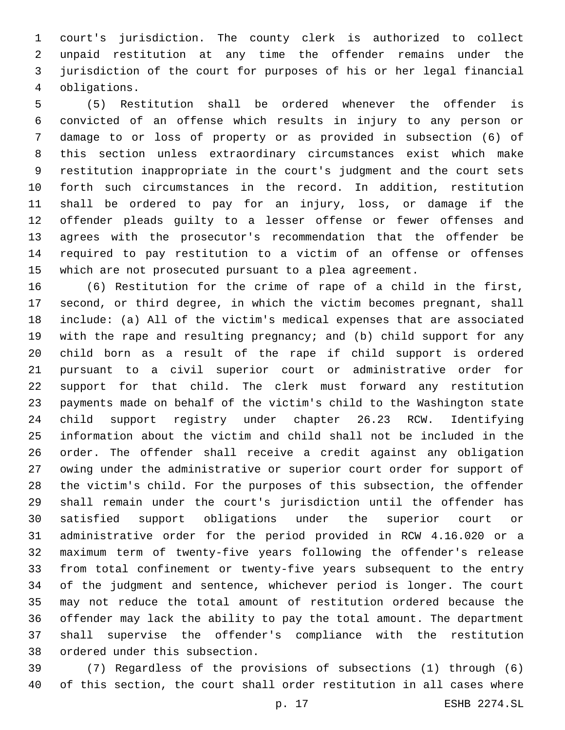court's jurisdiction. The county clerk is authorized to collect unpaid restitution at any time the offender remains under the jurisdiction of the court for purposes of his or her legal financial obligations.4

 (5) Restitution shall be ordered whenever the offender is convicted of an offense which results in injury to any person or damage to or loss of property or as provided in subsection (6) of this section unless extraordinary circumstances exist which make restitution inappropriate in the court's judgment and the court sets forth such circumstances in the record. In addition, restitution shall be ordered to pay for an injury, loss, or damage if the offender pleads guilty to a lesser offense or fewer offenses and agrees with the prosecutor's recommendation that the offender be required to pay restitution to a victim of an offense or offenses which are not prosecuted pursuant to a plea agreement.

 (6) Restitution for the crime of rape of a child in the first, second, or third degree, in which the victim becomes pregnant, shall include: (a) All of the victim's medical expenses that are associated with the rape and resulting pregnancy; and (b) child support for any child born as a result of the rape if child support is ordered pursuant to a civil superior court or administrative order for support for that child. The clerk must forward any restitution payments made on behalf of the victim's child to the Washington state child support registry under chapter 26.23 RCW. Identifying information about the victim and child shall not be included in the order. The offender shall receive a credit against any obligation owing under the administrative or superior court order for support of the victim's child. For the purposes of this subsection, the offender shall remain under the court's jurisdiction until the offender has satisfied support obligations under the superior court or administrative order for the period provided in RCW 4.16.020 or a maximum term of twenty-five years following the offender's release from total confinement or twenty-five years subsequent to the entry of the judgment and sentence, whichever period is longer. The court may not reduce the total amount of restitution ordered because the offender may lack the ability to pay the total amount. The department shall supervise the offender's compliance with the restitution 38 ordered under this subsection.

 (7) Regardless of the provisions of subsections (1) through (6) of this section, the court shall order restitution in all cases where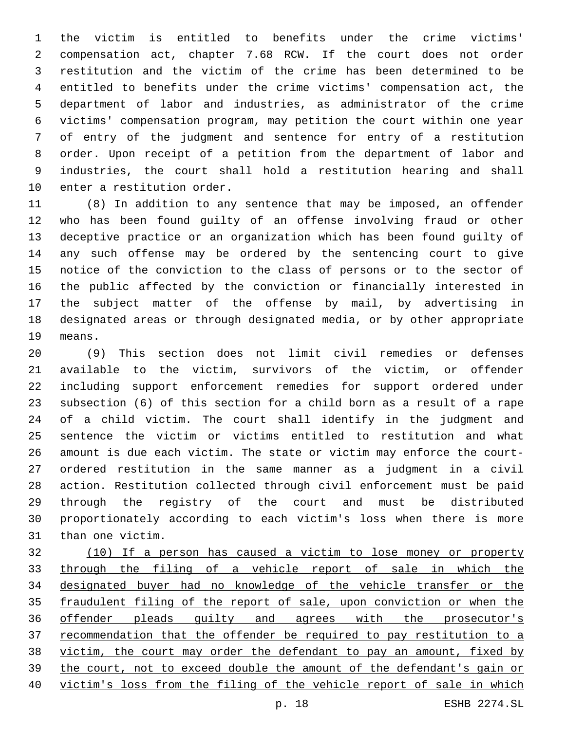the victim is entitled to benefits under the crime victims' compensation act, chapter 7.68 RCW. If the court does not order restitution and the victim of the crime has been determined to be entitled to benefits under the crime victims' compensation act, the department of labor and industries, as administrator of the crime victims' compensation program, may petition the court within one year of entry of the judgment and sentence for entry of a restitution order. Upon receipt of a petition from the department of labor and industries, the court shall hold a restitution hearing and shall 10 enter a restitution order.

 (8) In addition to any sentence that may be imposed, an offender who has been found guilty of an offense involving fraud or other deceptive practice or an organization which has been found guilty of any such offense may be ordered by the sentencing court to give notice of the conviction to the class of persons or to the sector of the public affected by the conviction or financially interested in the subject matter of the offense by mail, by advertising in designated areas or through designated media, or by other appropriate 19 means.

 (9) This section does not limit civil remedies or defenses available to the victim, survivors of the victim, or offender including support enforcement remedies for support ordered under subsection (6) of this section for a child born as a result of a rape of a child victim. The court shall identify in the judgment and sentence the victim or victims entitled to restitution and what amount is due each victim. The state or victim may enforce the court- ordered restitution in the same manner as a judgment in a civil action. Restitution collected through civil enforcement must be paid through the registry of the court and must be distributed proportionately according to each victim's loss when there is more than one victim.

 (10) If a person has caused a victim to lose money or property through the filing of a vehicle report of sale in which the designated buyer had no knowledge of the vehicle transfer or the fraudulent filing of the report of sale, upon conviction or when the offender pleads guilty and agrees with the prosecutor's recommendation that the offender be required to pay restitution to a victim, the court may order the defendant to pay an amount, fixed by the court, not to exceed double the amount of the defendant's gain or victim's loss from the filing of the vehicle report of sale in which